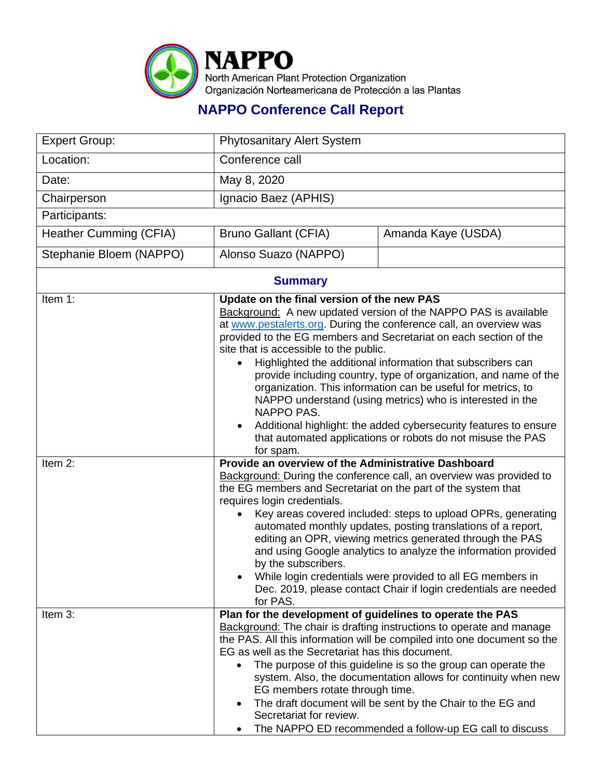

## **NAPPO Conference Call Report**

| <b>Expert Group:</b>    | <b>Phytosanitary Alert System</b>                                                                                                                                                                                                                                                                                                                                                                                                                                                                                                                                                                                                                                                                                                |                    |  |  |
|-------------------------|----------------------------------------------------------------------------------------------------------------------------------------------------------------------------------------------------------------------------------------------------------------------------------------------------------------------------------------------------------------------------------------------------------------------------------------------------------------------------------------------------------------------------------------------------------------------------------------------------------------------------------------------------------------------------------------------------------------------------------|--------------------|--|--|
| Location:               | Conference call                                                                                                                                                                                                                                                                                                                                                                                                                                                                                                                                                                                                                                                                                                                  |                    |  |  |
| Date:                   | May 8, 2020                                                                                                                                                                                                                                                                                                                                                                                                                                                                                                                                                                                                                                                                                                                      |                    |  |  |
| Chairperson             | Ignacio Baez (APHIS)                                                                                                                                                                                                                                                                                                                                                                                                                                                                                                                                                                                                                                                                                                             |                    |  |  |
| Participants:           |                                                                                                                                                                                                                                                                                                                                                                                                                                                                                                                                                                                                                                                                                                                                  |                    |  |  |
| Heather Cumming (CFIA)  | <b>Bruno Gallant (CFIA)</b>                                                                                                                                                                                                                                                                                                                                                                                                                                                                                                                                                                                                                                                                                                      | Amanda Kaye (USDA) |  |  |
| Stephanie Bloem (NAPPO) | Alonso Suazo (NAPPO)                                                                                                                                                                                                                                                                                                                                                                                                                                                                                                                                                                                                                                                                                                             |                    |  |  |
| <b>Summary</b>          |                                                                                                                                                                                                                                                                                                                                                                                                                                                                                                                                                                                                                                                                                                                                  |                    |  |  |
| Item 1:                 | Update on the final version of the new PAS<br>Background: A new updated version of the NAPPO PAS is available<br>at www.pestalerts.org. During the conference call, an overview was<br>provided to the EG members and Secretariat on each section of the<br>site that is accessible to the public.<br>Highlighted the additional information that subscribers can<br>provide including country, type of organization, and name of the<br>organization. This information can be useful for metrics, to<br>NAPPO understand (using metrics) who is interested in the<br>NAPPO PAS.<br>Additional highlight: the added cybersecurity features to ensure<br>that automated applications or robots do not misuse the PAS<br>for spam. |                    |  |  |
| Item 2:                 | Provide an overview of the Administrative Dashboard<br>Background: During the conference call, an overview was provided to<br>the EG members and Secretariat on the part of the system that<br>requires login credentials.<br>Key areas covered included: steps to upload OPRs, generating<br>automated monthly updates, posting translations of a report,<br>editing an OPR, viewing metrics generated through the PAS<br>and using Google analytics to analyze the information provided<br>by the subscribers.<br>While login credentials were provided to all EG members in<br>Dec. 2019, please contact Chair if login credentials are needed<br>for PAS.                                                                    |                    |  |  |
| Item 3:                 | Plan for the development of guidelines to operate the PAS<br><b>Background:</b> The chair is drafting instructions to operate and manage<br>the PAS. All this information will be compiled into one document so the<br>EG as well as the Secretariat has this document.<br>The purpose of this guideline is so the group can operate the<br>$\bullet$<br>system. Also, the documentation allows for continuity when new<br>EG members rotate through time.<br>The draft document will be sent by the Chair to the EG and<br>٠<br>Secretariat for review.<br>The NAPPO ED recommended a follow-up EG call to discuss                                                                                                              |                    |  |  |